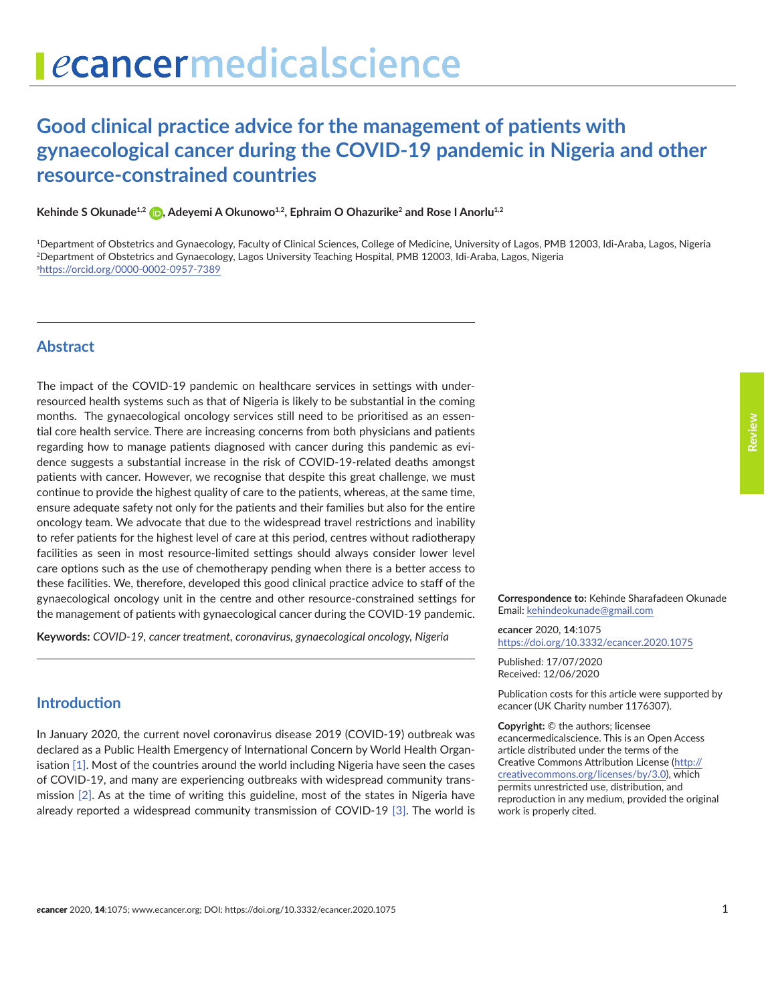# **Good clinical practice advice for the management of patients with gynaecological cancer during the COVID-19 pandemic in Nigeria and other resource-constrained countries**

Kehinde S Okunade<sup>1,2</sup> **D**[,](https://orcid.org/0000-0002-0957-7389) Adeyemi A Okunowo<sup>1,2</sup>, Ephraim O Ohazurike<sup>2</sup> and Rose I Anorlu<sup>1,2</sup>

1Department of Obstetrics and Gynaecology, Faculty of Clinical Sciences, College of Medicine, University of Lagos, PMB 12003, Idi-Araba, Lagos, Nigeria 2Department of Obstetrics and Gynaecology, Lagos University Teaching Hospital, PMB 12003, Idi-Araba, Lagos, Nigeria a <https://orcid.org/0000-0002-0957-7389>

### **Abstract**

The impact of the COVID-19 pandemic on healthcare services in settings with underresourced health systems such as that of Nigeria is likely to be substantial in the coming months. The gynaecological oncology services still need to be prioritised as an essential core health service. There are increasing concerns from both physicians and patients regarding how to manage patients diagnosed with cancer during this pandemic as evidence suggests a substantial increase in the risk of COVID-19-related deaths amongst patients with cancer. However, we recognise that despite this great challenge, we must continue to provide the highest quality of care to the patients, whereas, at the same time, ensure adequate safety not only for the patients and their families but also for the entire oncology team. We advocate that due to the widespread travel restrictions and inability to refer patients for the highest level of care at this period, centres without radiotherapy facilities as seen in most resource-limited settings should always consider lower level care options such as the use of chemotherapy pending when there is a better access to these facilities. We, therefore, developed this good clinical practice advice to staff of the gynaecological oncology unit in the centre and other resource-constrained settings for the management of patients with gynaecological cancer during the COVID-19 pandemic.

**Keywords:** *COVID-19, cancer treatment, coronavirus, gynaecological oncology, Nigeria*

**Introduction**

In January 2020, the current novel coronavirus disease 2019 (COVID-19) outbreak was declared as a Public Health Emergency of International Concern by World Health Organisation [\[1\].](#page-8-0) Most of the countries around the world including Nigeria have seen the cases of COVID-19, and many are experiencing outbreaks with widespread community transmission [\[2\]](#page-8-0). As at the time of writing this guideline, most of the states in Nigeria have already reported a widespread community transmission of COVID-19 [\[3\]](#page-8-0). The world is **Correspondence to:** Kehinde Sharafadeen Okunade

Email: [kehindeokunade@gmail.com](mailto:kehindeokunade@gmail.com)

*e***cancer** 2020, **14**:1075 [https://doi.org/10.3332/ecancer.2020.107](https://doi.org/10.3332/ecancer.2020.1075)5

Published: 17/07/2020 Received: 12/06/2020

Publication costs for this article were supported by *e*cancer (UK Charity number 1176307).

**Copyright:** © the authors; licensee *e*cancermedicalscience. This is an Open Access article distributed under the terms of the Creative Commons Attribution License [\(http://](http://creativecommons.org/licenses/by/3.0) [creativecommons.org/licenses/by/3.0\)](http://creativecommons.org/licenses/by/3.0), which permits unrestricted use, distribution, and reproduction in any medium, provided the original work is properly cited.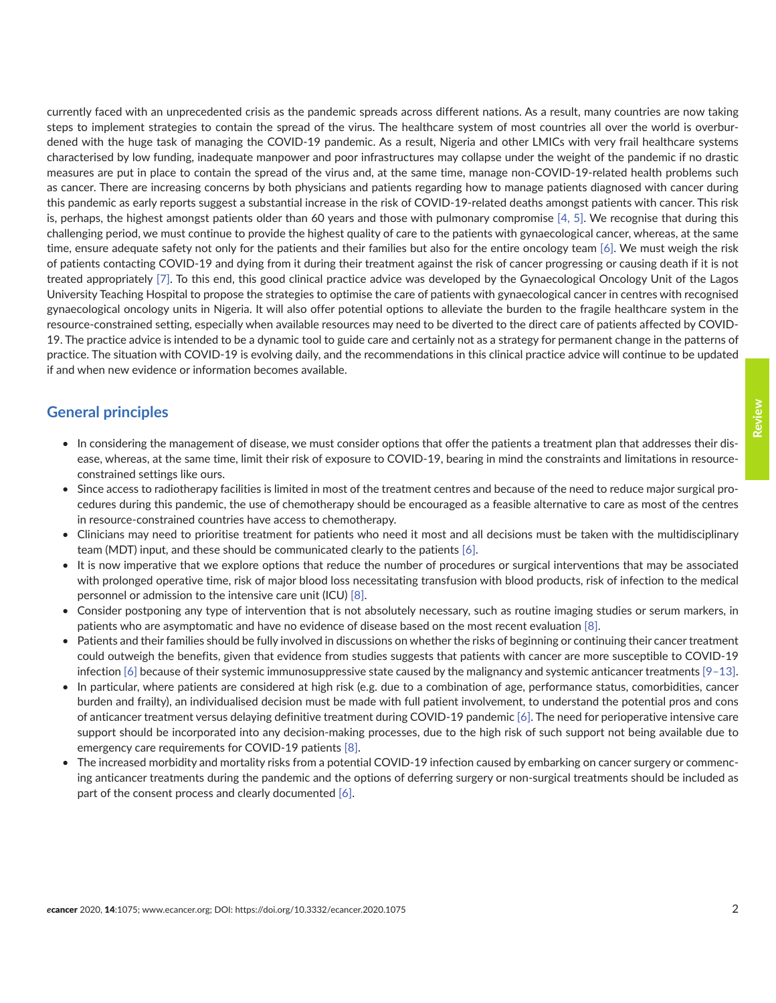currently faced with an unprecedented crisis as the pandemic spreads across different nations. As a result, many countries are now taking steps to implement strategies to contain the spread of the virus. The healthcare system of most countries all over the world is overburdened with the huge task of managing the COVID-19 pandemic. As a result, Nigeria and other LMICs with very frail healthcare systems characterised by low funding, inadequate manpower and poor infrastructures may collapse under the weight of the pandemic if no drastic measures are put in place to contain the spread of the virus and, at the same time, manage non-COVID-19-related health problems such as cancer. There are increasing concerns by both physicians and patients regarding how to manage patients diagnosed with cancer during this pandemic as early reports suggest a substantial increase in the risk of COVID-19-related deaths amongst patients with cancer. This risk is, perhaps, the highest amongst patients older than 60 years and those with pulmonary compromise [\[4, 5\].](#page-8-0) We recognise that during this challenging period, we must continue to provide the highest quality of care to the patients with gynaecological cancer, whereas, at the same time, ensure adequate safety not only for the patients and their families but also for the entire oncology team [\[6\]](#page-8-0). We must weigh the risk of patients contacting COVID-19 and dying from it during their treatment against the risk of cancer progressing or causing death if it is not treated appropriately [\[7\]](#page-8-0). To this end, this good clinical practice advice was developed by the Gynaecological Oncology Unit of the Lagos University Teaching Hospital to propose the strategies to optimise the care of patients with gynaecological cancer in centres with recognised gynaecological oncology units in Nigeria. It will also offer potential options to alleviate the burden to the fragile healthcare system in the resource-constrained setting, especially when available resources may need to be diverted to the direct care of patients affected by COVID-19. The practice advice is intended to be a dynamic tool to guide care and certainly not as a strategy for permanent change in the patterns of practice. The situation with COVID-19 is evolving daily, and the recommendations in this clinical practice advice will continue to be updated if and when new evidence or information becomes available.

# **General principles**

- In considering the management of disease, we must consider options that offer the patients a treatment plan that addresses their disease, whereas, at the same time, limit their risk of exposure to COVID-19, bearing in mind the constraints and limitations in resourceconstrained settings like ours.
- Since access to radiotherapy facilities is limited in most of the treatment centres and because of the need to reduce major surgical procedures during this pandemic, the use of chemotherapy should be encouraged as a feasible alternative to care as most of the centres in resource-constrained countries have access to chemotherapy.
- Clinicians may need to prioritise treatment for patients who need it most and all decisions must be taken with the multidisciplinary team (MDT) input, and these should be communicated clearly to the patients [\[6\]](#page-8-0).
- It is now imperative that we explore options that reduce the number of procedures or surgical interventions that may be associated with prolonged operative time, risk of major blood loss necessitating transfusion with blood products, risk of infection to the medical personnel or admission to the intensive care unit (ICU) [\[8\].](#page-8-0)
- Consider postponing any type of intervention that is not absolutely necessary, such as routine imaging studies or serum markers, in patients who are asymptomatic and have no evidence of disease based on the most recent evaluation [\[8\].](#page-8-0)
- Patients and their families should be fully involved in discussions on whether the risks of beginning or continuing their cancer treatment could outweigh the benefits, given that evidence from studies suggests that patients with cancer are more susceptible to COVID-19 infection [\[6\]](#page-7-0) because of their systemic immunosuppressive state caused by the malignancy and systemic anticancer treatments [\[9–13\].](#page-8-0)
- In particular, where patients are considered at high risk (e.g. due to a combination of age, performance status, comorbidities, cancer burden and frailty), an individualised decision must be made with full patient involvement, to understand the potential pros and cons of anticancer treatment versus delaying definitive treatment during COVID-19 pandemic [\[6\].](#page-8-0) The need for perioperative intensive care support should be incorporated into any decision-making processes, due to the high risk of such support not being available due to emergency care requirements for COVID-19 patients [\[8\].](#page-8-0)
- The increased morbidity and mortality risks from a potential COVID-19 infection caused by embarking on cancer surgery or commencing anticancer treatments during the pandemic and the options of deferring surgery or non-surgical treatments should be included as part of the consent process and clearly documented [\[6\].](#page-8-0)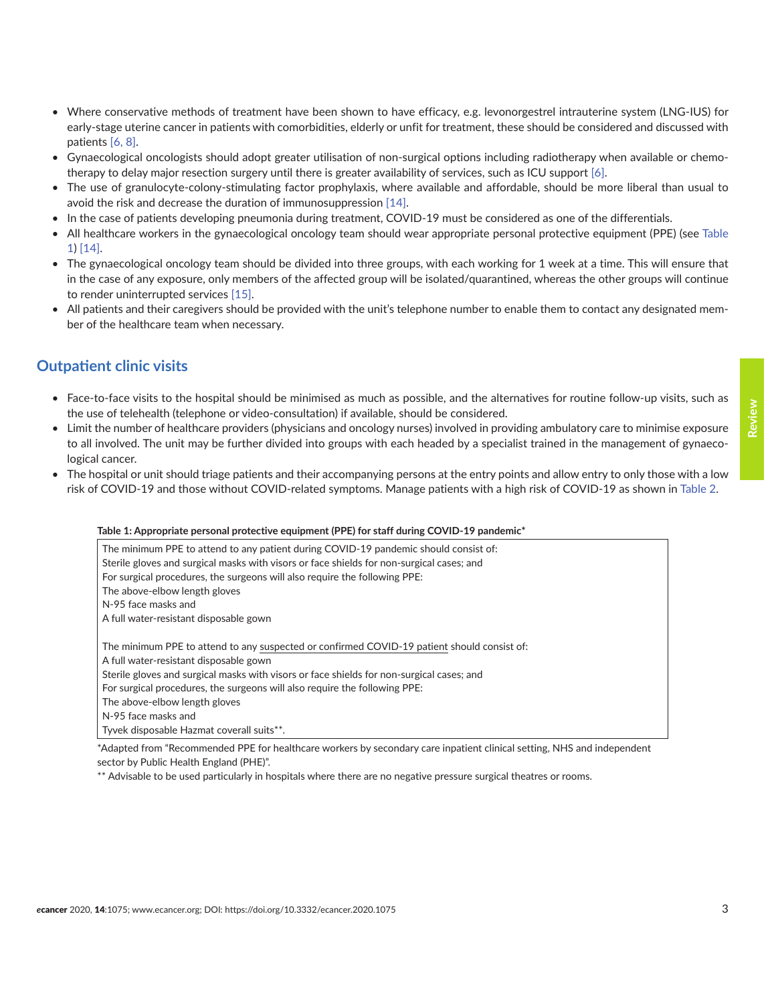- Where conservative methods of treatment have been shown to have efficacy, e.g. levonorgestrel intrauterine system (LNG-IUS) for early-stage uterine cancer in patients with comorbidities, elderly or unfit for treatment, these should be considered and discussed with patients [\[6, 8\]](#page-8-0).
- Gynaecological oncologists should adopt greater utilisation of non-surgical options including radiotherapy when available or chemotherapy to delay major resection surgery until there is greater availability of services, such as ICU support [\[6\]](#page-8-0).
- The use of granulocyte-colony-stimulating factor prophylaxis, where available and affordable, should be more liberal than usual to avoid the risk and decrease the duration of immunosuppression [\[14\].](#page-8-0)
- In the case of patients developing pneumonia during treatment, COVID-19 must be considered as one of the differentials.
- All healthcare workers in the gynaecological oncology team should wear appropriate personal protective equipment (PPE) (see Table 1) [\[14\].](#page-8-0)
- The gynaecological oncology team should be divided into three groups, with each working for 1 week at a time. This will ensure that in the case of any exposure, only members of the affected group will be isolated/quarantined, whereas the other groups will continue to render uninterrupted services [\[15\]](#page-8-0).
- All patients and their caregivers should be provided with the unit's telephone number to enable them to contact any designated member of the healthcare team when necessary.

# **Outpatient clinic visits**

- Face-to-face visits to the hospital should be minimised as much as possible, and the alternatives for routine follow-up visits, such as the use of telehealth (telephone or video-consultation) if available, should be considered.
- Limit the number of healthcare providers (physicians and oncology nurses) involved in providing ambulatory care to minimise exposure to all involved. The unit may be further divided into groups with each headed by a specialist trained in the management of gynaecological cancer.
- The hospital or unit should triage patients and their accompanying persons at the entry points and allow entry to only those with a low risk of COVID-19 and those without COVID-related symptoms. Manage patients with a high risk of COVID-19 as shown in [Table 2](#page-3-0).

#### **Table 1: Appropriate personal protective equipment (PPE) for staff during COVID-19 pandemic\***

The minimum PPE to attend to any patient during COVID-19 pandemic should consist of: Sterile gloves and surgical masks with visors or face shields for non-surgical cases; and For surgical procedures, the surgeons will also require the following PPE: The above-elbow length gloves N-95 face masks and A full water-resistant disposable gown The minimum PPE to attend to any suspected or confirmed COVID-19 patient should consist of: A full water-resistant disposable gown Sterile gloves and surgical masks with visors or face shields for non-surgical cases; and For surgical procedures, the surgeons will also require the following PPE: The above-elbow length gloves N-95 face masks and Tyvek disposable Hazmat coverall suits\*\*.

\*Adapted from "Recommended PPE for healthcare workers by secondary care inpatient clinical setting, NHS and independent sector by Public Health England (PHE)".

\*\* Advisable to be used particularly in hospitals where there are no negative pressure surgical theatres or rooms.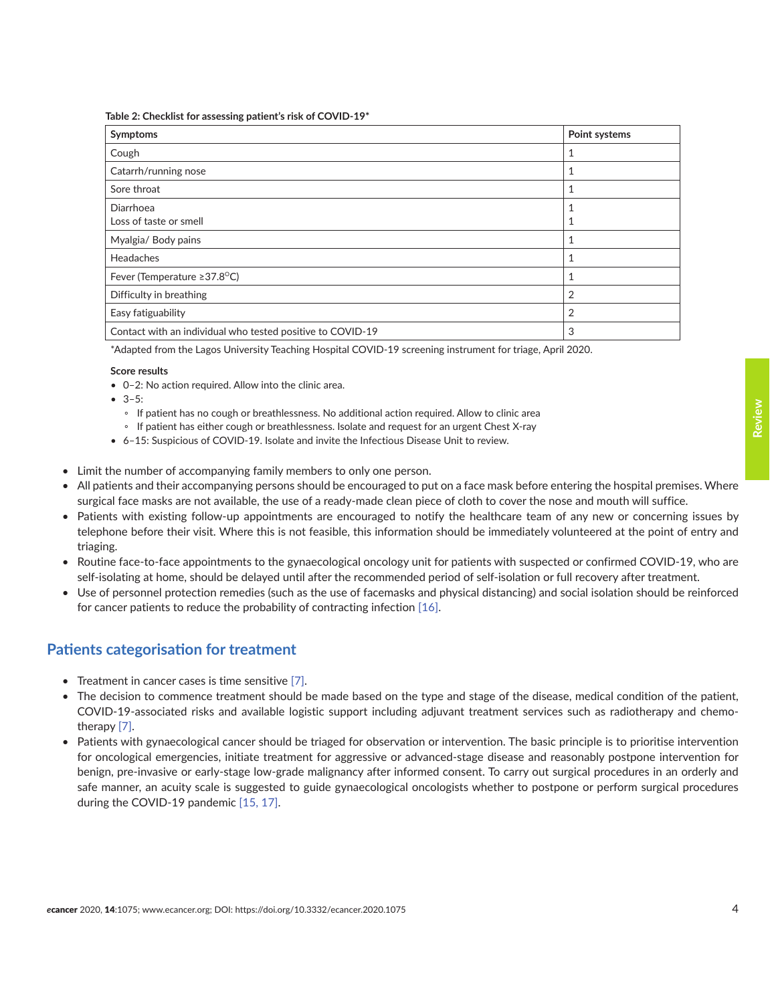<span id="page-3-0"></span>**Table 2: Checklist for assessing patient's risk of COVID-19\***

| Symptoms                                                   | Point systems |
|------------------------------------------------------------|---------------|
| Cough                                                      |               |
| Catarrh/running nose                                       | 1             |
| Sore throat                                                |               |
| Diarrhoea                                                  |               |
| Loss of taste or smell                                     |               |
| Myalgia/ Body pains                                        |               |
| Headaches                                                  | 1             |
| Fever (Temperature ≥37.8°C)                                | 1             |
| Difficulty in breathing                                    | 2             |
| Easy fatiguability                                         | 2             |
| Contact with an individual who tested positive to COVID-19 | 3             |

\*Adapted from the Lagos University Teaching Hospital COVID-19 screening instrument for triage, April 2020.

#### **Score results**

- 0–2: No action required. Allow into the clinic area.
- $3-5:$ 
	- If patient has no cough or breathlessness. No additional action required. Allow to clinic area
	- If patient has either cough or breathlessness. Isolate and request for an urgent Chest X-ray
- 6–15: Suspicious of COVID-19. Isolate and invite the Infectious Disease Unit to review.
- Limit the number of accompanying family members to only one person.
- All patients and their accompanying persons should be encouraged to put on a face mask before entering the hospital premises. Where surgical face masks are not available, the use of a ready-made clean piece of cloth to cover the nose and mouth will suffice.
- Patients with existing follow-up appointments are encouraged to notify the healthcare team of any new or concerning issues by telephone before their visit. Where this is not feasible, this information should be immediately volunteered at the point of entry and triaging.
- Routine face-to-face appointments to the gynaecological oncology unit for patients with suspected or confirmed COVID-19, who are self-isolating at home, should be delayed until after the recommended period of self-isolation or full recovery after treatment.
- Use of personnel protection remedies (such as the use of facemasks and physical distancing) and social isolation should be reinforced for cancer patients to reduce the probability of contracting infection [\[16\]](#page-9-0).

### **Patients categorisation for treatment**

- Treatment in cancer cases is time sensitive [\[7\]](#page-8-0).
- The decision to commence treatment should be made based on the type and stage of the disease, medical condition of the patient, COVID-19-associated risks and available logistic support including adjuvant treatment services such as radiotherapy and chemotherapy [\[7\]](#page-8-0).
- Patients with gynaecological cancer should be triaged for observation or intervention. The basic principle is to prioritise intervention for oncological emergencies, initiate treatment for aggressive or advanced-stage disease and reasonably postpone intervention for benign, pre-invasive or early-stage low-grade malignancy after informed consent. To carry out surgical procedures in an orderly and safe manner, an acuity scale is suggested to guide gynaecological oncologists whether to postpone or perform surgical procedures during the COVID-19 pandemic [\[15,](#page-8-0) [17\]](#page-9-0).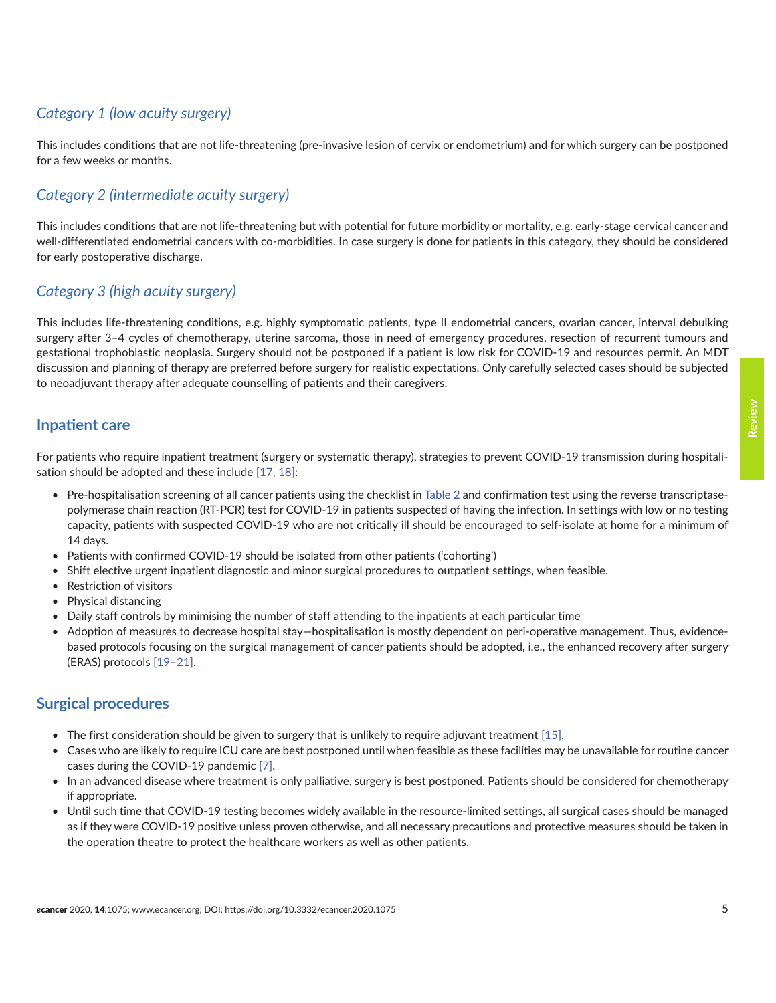# *Category 1 (low acuity surgery)*

This includes conditions that are not life-threatening (pre-invasive lesion of cervix or endometrium) and for which surgery can be postponed for a few weeks or months.

# *Category 2 (intermediate acuity surgery)*

This includes conditions that are not life-threatening but with potential for future morbidity or mortality, e.g. early-stage cervical cancer and well-differentiated endometrial cancers with co-morbidities. In case surgery is done for patients in this category, they should be considered for early postoperative discharge.

# *Category 3 (high acuity surgery)*

This includes life-threatening conditions, e.g. highly symptomatic patients, type II endometrial cancers, ovarian cancer, interval debulking surgery after 3–4 cycles of chemotherapy, uterine sarcoma, those in need of emergency procedures, resection of recurrent tumours and gestational trophoblastic neoplasia. Surgery should not be postponed if a patient is low risk for COVID-19 and resources permit. An MDT discussion and planning of therapy are preferred before surgery for realistic expectations. Only carefully selected cases should be subjected to neoadjuvant therapy after adequate counselling of patients and their caregivers.

### **Inpatient care**

For patients who require inpatient treatment (surgery or systematic therapy), strategies to prevent COVID-19 transmission during hospitali-sation should be adopted and these include [\[17,](#page-9-0) [18\]:](#page-9-0)

- Pre-hospitalisation screening of all cancer patients using the checklist in [Table 2](#page-3-0) and confirmation test using the reverse transcriptasepolymerase chain reaction (RT-PCR) test for COVID-19 in patients suspected of having the infection. In settings with low or no testing capacity, patients with suspected COVID-19 who are not critically ill should be encouraged to self-isolate at home for a minimum of 14 days.
- Patients with confirmed COVID-19 should be isolated from other patients ('cohorting')
- Shift elective urgent inpatient diagnostic and minor surgical procedures to outpatient settings, when feasible.
- Restriction of visitors
- Physical distancing
- Daily staff controls by minimising the number of staff attending to the inpatients at each particular time
- Adoption of measures to decrease hospital stay—hospitalisation is mostly dependent on peri-operative management. Thus, evidencebased protocols focusing on the surgical management of cancer patients should be adopted, i.e., the enhanced recovery after surgery (ERAS) protocols [\[19–21\].](#page-9-0)

### **Surgical procedures**

- The first consideration should be given to surgery that is unlikely to require adjuvant treatment [\[15\]](#page-8-0).
- Cases who are likely to require ICU care are best postponed until when feasible as these facilities may be unavailable for routine cancer cases during the COVID-19 pandemic [\[7\]](#page-8-0).
- In an advanced disease where treatment is only palliative, surgery is best postponed. Patients should be considered for chemotherapy if appropriate.
- Until such time that COVID-19 testing becomes widely available in the resource-limited settings, all surgical cases should be managed as if they were COVID-19 positive unless proven otherwise, and all necessary precautions and protective measures should be taken in the operation theatre to protect the healthcare workers as well as other patients.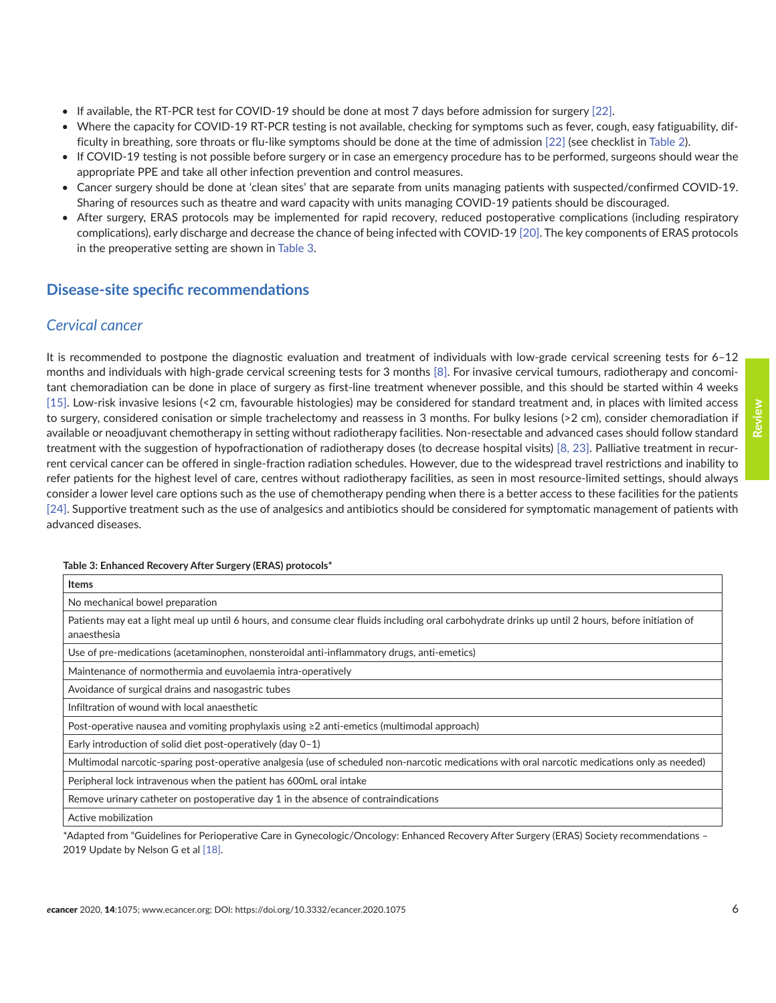- If available, the RT-PCR test for COVID-19 should be done at most 7 days before admission for surgery [\[22\]](#page-9-0).
- Where the capacity for COVID-19 RT-PCR testing is not available, checking for symptoms such as fever, cough, easy fatiguability, difficulty in breathing, sore throats or flu-like symptoms should be done at the time of admission [\[22\]](#page-9-0) (see checklist in [Table 2\)](#page-3-0).
- If COVID-19 testing is not possible before surgery or in case an emergency procedure has to be performed, surgeons should wear the appropriate PPE and take all other infection prevention and control measures.
- Cancer surgery should be done at 'clean sites' that are separate from units managing patients with suspected/confirmed COVID-19. Sharing of resources such as theatre and ward capacity with units managing COVID-19 patients should be discouraged.
- After surgery, ERAS protocols may be implemented for rapid recovery, reduced postoperative complications (including respiratory complications), early discharge and decrease the chance of being infected with COVID-19 [\[20\].](#page-9-0) The key components of ERAS protocols in the preoperative setting are shown in Table 3.

### **Disease-site specific recommendations**

### *Cervical cancer*

It is recommended to postpone the diagnostic evaluation and treatment of individuals with low-grade cervical screening tests for 6–12 months and individuals with high-grade cervical screening tests for 3 months [\[8\]](#page-8-0). For invasive cervical tumours, radiotherapy and concomitant chemoradiation can be done in place of surgery as first-line treatment whenever possible, and this should be started within 4 weeks [\[15\].](#page-8-0) Low-risk invasive lesions (<2 cm, favourable histologies) may be considered for standard treatment and, in places with limited access to surgery, considered conisation or simple trachelectomy and reassess in 3 months. For bulky lesions (>2 cm), consider chemoradiation if available or neoadjuvant chemotherapy in setting without radiotherapy facilities. Non-resectable and advanced cases should follow standard treatment with the suggestion of hypofractionation of radiotherapy doses (to decrease hospital visits) [\[8,](#page-8-0) [23\]](#page-9-0). Palliative treatment in recurrent cervical cancer can be offered in single-fraction radiation schedules. However, due to the widespread travel restrictions and inability to refer patients for the highest level of care, centres without radiotherapy facilities, as seen in most resource-limited settings, should always consider a lower level care options such as the use of chemotherapy pending when there is a better access to these facilities for the patients [\[24\].](#page-9-0) Supportive treatment such as the use of analgesics and antibiotics should be considered for symptomatic management of patients with advanced diseases.

#### **Table 3: Enhanced Recovery After Surgery (ERAS) protocols\***

| <b>Items</b>                                                                                                                                                      |
|-------------------------------------------------------------------------------------------------------------------------------------------------------------------|
| No mechanical bowel preparation                                                                                                                                   |
| Patients may eat a light meal up until 6 hours, and consume clear fluids including oral carbohydrate drinks up until 2 hours, before initiation of<br>anaesthesia |
| Use of pre-medications (acetaminophen, nonsteroidal anti-inflammatory drugs, anti-emetics)                                                                        |
| Maintenance of normothermia and euvolaemia intra-operatively                                                                                                      |
| Avoidance of surgical drains and nasogastric tubes                                                                                                                |
| Infiltration of wound with local anaesthetic                                                                                                                      |
| Post-operative nausea and vomiting prophylaxis using $\geq 2$ anti-emetics (multimodal approach)                                                                  |
| Early introduction of solid diet post-operatively (day 0-1)                                                                                                       |
| Multimodal narcotic-sparing post-operative analgesia (use of scheduled non-narcotic medications with oral narcotic medications only as needed)                    |
| Peripheral lock intravenous when the patient has 600mL oral intake                                                                                                |
| Remove urinary catheter on postoperative day 1 in the absence of contraindications                                                                                |
| Active mobilization                                                                                                                                               |
| *Adopted from "Cuidelines for Derionarative Care in Cynoselegis (Onselegy Ephanoed Deseveny After Surgeon (EDAS) Seciety recommendations                          |

\*Adapted from "Guidelines for Perioperative Care in Gynecologic/Oncology: Enhanced Recovery After Surgery (ERAS) Society recommendations – 2019 Update by Nelson G et al [18].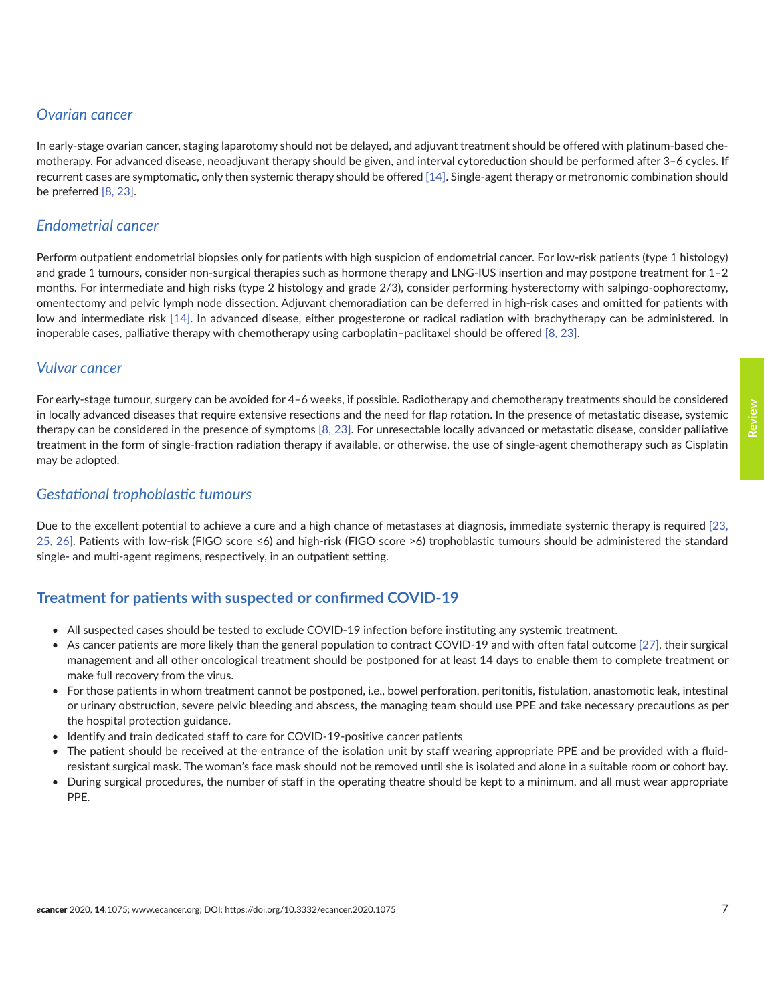# *Ovarian cancer*

In early-stage ovarian cancer, staging laparotomy should not be delayed, and adjuvant treatment should be offered with platinum-based chemotherapy. For advanced disease, neoadjuvant therapy should be given, and interval cytoreduction should be performed after 3–6 cycles. If recurrent cases are symptomatic, only then systemic therapy should be offered [\[14\].](#page-8-0) Single-agent therapy or metronomic combination should be preferred [\[8,](#page-8-0) [23\].](#page-9-0)

# *Endometrial cancer*

Perform outpatient endometrial biopsies only for patients with high suspicion of endometrial cancer. For low-risk patients (type 1 histology) and grade 1 tumours, consider non-surgical therapies such as hormone therapy and LNG-IUS insertion and may postpone treatment for 1–2 months. For intermediate and high risks (type 2 histology and grade 2/3), consider performing hysterectomy with salpingo-oophorectomy, omentectomy and pelvic lymph node dissection. Adjuvant chemoradiation can be deferred in high-risk cases and omitted for patients with low and intermediate risk [\[14\]](#page-8-0). In advanced disease, either progesterone or radical radiation with brachytherapy can be administered. In inoperable cases, palliative therapy with chemotherapy using carboplatin–paclitaxel should be offered [\[8,](#page-8-0) [23\].](#page-9-0)

### *Vulvar cancer*

For early-stage tumour, surgery can be avoided for 4–6 weeks, if possible. Radiotherapy and chemotherapy treatments should be considered in locally advanced diseases that require extensive resections and the need for flap rotation. In the presence of metastatic disease, systemic therapy can be considered in the presence of symptoms [\[8,](#page-8-0) [23\]](#page-9-0). For unresectable locally advanced or metastatic disease, consider palliative treatment in the form of single-fraction radiation therapy if available, or otherwise, the use of single-agent chemotherapy such as Cisplatin may be adopted.

### *Gestational trophoblastic tumours*

Due to the excellent potential to achieve a cure and a high chance of metastases at diagnosis, immediate systemic therapy is required [\[23,](#page-9-0)  [25,](#page-9-0) [26\]](#page-9-0). Patients with low-risk (FIGO score ≤6) and high-risk (FIGO score >6) trophoblastic tumours should be administered the standard single- and multi-agent regimens, respectively, in an outpatient setting.

# **Treatment for patients with suspected or confirmed COVID-19**

- All suspected cases should be tested to exclude COVID-19 infection before instituting any systemic treatment.
- As cancer patients are more likely than the general population to contract COVID-19 and with often fatal outcome [\[27\]](#page-9-0), their surgical management and all other oncological treatment should be postponed for at least 14 days to enable them to complete treatment or make full recovery from the virus.
- For those patients in whom treatment cannot be postponed, i.e., bowel perforation, peritonitis, fistulation, anastomotic leak, intestinal or urinary obstruction, severe pelvic bleeding and abscess, the managing team should use PPE and take necessary precautions as per the hospital protection guidance.
- Identify and train dedicated staff to care for COVID-19-positive cancer patients
- The patient should be received at the entrance of the isolation unit by staff wearing appropriate PPE and be provided with a fluidresistant surgical mask. The woman's face mask should not be removed until she is isolated and alone in a suitable room or cohort bay.
- During surgical procedures, the number of staff in the operating theatre should be kept to a minimum, and all must wear appropriate PPE.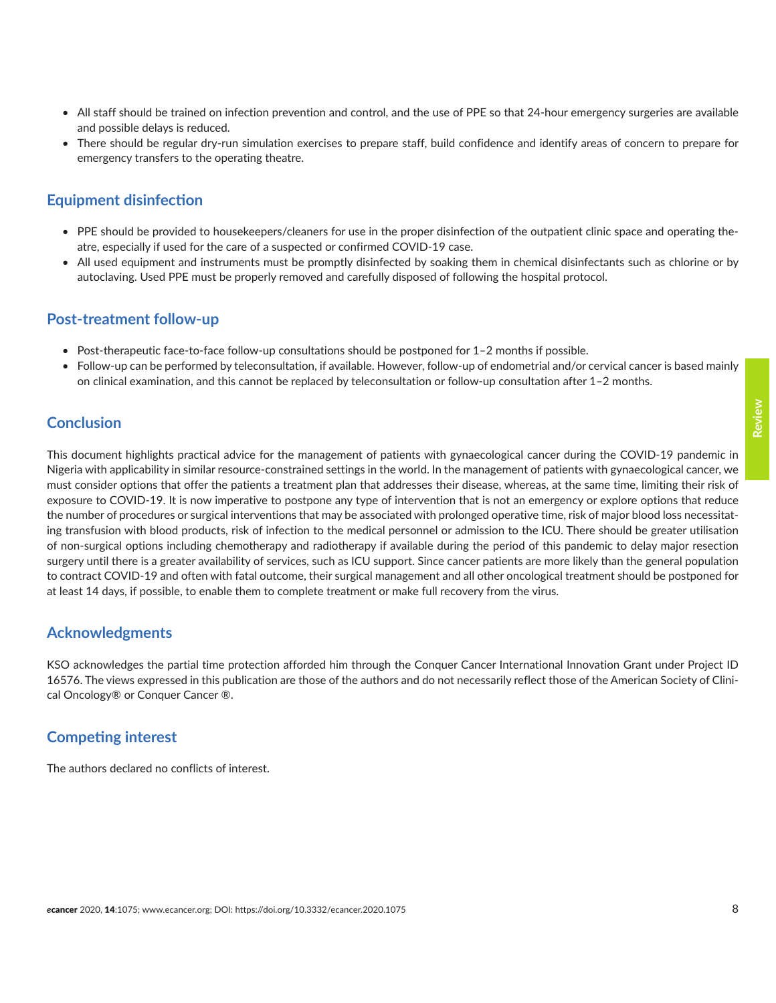- <span id="page-7-0"></span>• All staff should be trained on infection prevention and control, and the use of PPE so that 24-hour emergency surgeries are available and possible delays is reduced.
- There should be regular dry-run simulation exercises to prepare staff, build confidence and identify areas of concern to prepare for emergency transfers to the operating theatre.

### **Equipment disinfection**

- PPE should be provided to housekeepers/cleaners for use in the proper disinfection of the outpatient clinic space and operating theatre, especially if used for the care of a suspected or confirmed COVID-19 case.
- All used equipment and instruments must be promptly disinfected by soaking them in chemical disinfectants such as chlorine or by autoclaving. Used PPE must be properly removed and carefully disposed of following the hospital protocol.

### **Post-treatment follow-up**

- Post-therapeutic face-to-face follow-up consultations should be postponed for 1–2 months if possible.
- Follow-up can be performed by teleconsultation, if available. However, follow-up of endometrial and/or cervical cancer is based mainly on clinical examination, and this cannot be replaced by teleconsultation or follow-up consultation after 1–2 months.

### **Conclusion**

This document highlights practical advice for the management of patients with gynaecological cancer during the COVID-19 pandemic in Nigeria with applicability in similar resource-constrained settings in the world. In the management of patients with gynaecological cancer, we must consider options that offer the patients a treatment plan that addresses their disease, whereas, at the same time, limiting their risk of exposure to COVID-19. It is now imperative to postpone any type of intervention that is not an emergency or explore options that reduce the number of procedures or surgical interventions that may be associated with prolonged operative time, risk of major blood loss necessitating transfusion with blood products, risk of infection to the medical personnel or admission to the ICU. There should be greater utilisation of non-surgical options including chemotherapy and radiotherapy if available during the period of this pandemic to delay major resection surgery until there is a greater availability of services, such as ICU support. Since cancer patients are more likely than the general population to contract COVID-19 and often with fatal outcome, their surgical management and all other oncological treatment should be postponed for at least 14 days, if possible, to enable them to complete treatment or make full recovery from the virus.

### **Acknowledgments**

KSO acknowledges the partial time protection afforded him through the Conquer Cancer International Innovation Grant under Project ID 16576. The views expressed in this publication are those of the authors and do not necessarily reflect those of the American Society of Clinical Oncology® or Conquer Cancer ®.

### **Competing interest**

The authors declared no conflicts of interest.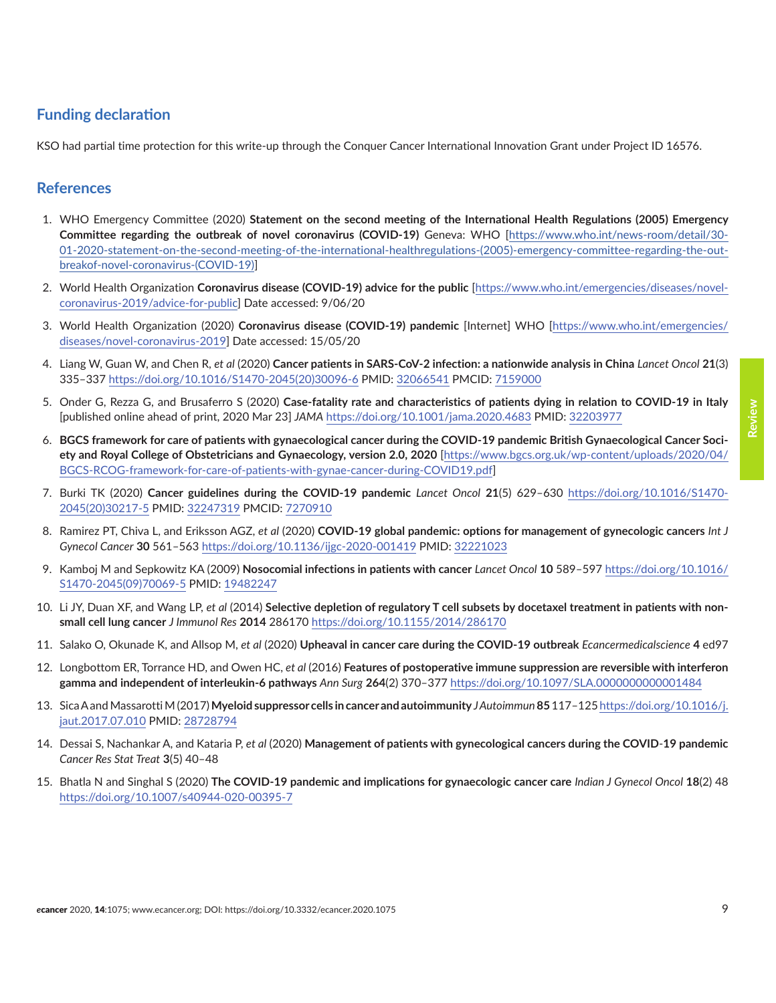# <span id="page-8-0"></span>**Funding declaration**

KSO had partial time protection for this write-up through the Conquer Cancer International Innovation Grant under Project ID 16576.

### **References**

- 1. WHO Emergency Committee (2020) **Statement on the second meeting of the International Health Regulations (2005) Emergency Committee regarding the outbreak of novel coronavirus (COVID-19)** Geneva: WHO [[https://www.who.int/news-room/detail/30-](https://www.who.int/news-room/detail/30-01-2020-statement-on-the-second-meeting-of-the-international-healthregulations-(2005)-emergency-committee-regarding-the-outbreakof-novel-coronavirus-(COVID-19)) [01-2020-statement-on-the-second-meeting-of-the-international-healthregulations-\(2005\)-emergency-committee-regarding-the-out](https://www.who.int/news-room/detail/30-01-2020-statement-on-the-second-meeting-of-the-international-healthregulations-(2005)-emergency-committee-regarding-the-outbreakof-novel-coronavirus-(COVID-19))[breakof-novel-coronavirus-\(COVID-19\)\]](https://www.who.int/news-room/detail/30-01-2020-statement-on-the-second-meeting-of-the-international-healthregulations-(2005)-emergency-committee-regarding-the-outbreakof-novel-coronavirus-(COVID-19))
- 2. World Health Organization **Coronavirus disease (COVID-19) advice for the public** [\[https://www.who.int/emergencies/diseases/novel](https://www.who.int/emergencies/diseases/novel-coronavirus-2019/advice-for-public)[coronavirus-2019/advice-for-publi](https://www.who.int/emergencies/diseases/novel-coronavirus-2019/advice-for-public)c] Date accessed: 9/06/20
- 3. World Health Organization (2020) **Coronavirus disease (COVID-19) pandemic** [Internet] WHO [\[https://www.who.int/emergencies/](https://www.who.int/emergencies/diseases/novel-coronavirus-2019) [diseases/novel-coronavirus-2019\]](https://www.who.int/emergencies/diseases/novel-coronavirus-2019) Date accessed: 15/05/20
- 4. Liang W, Guan W, and Chen R, *et al* (2020) **Cancer patients in SARS-CoV-2 infection: a nationwide analysis in China** *Lancet Oncol* **21**(3) 335–337 [https://doi.org/10.1016/S1470-2045\(20\)30096-6](https://doi.org/10.1016/S1470-2045(20)30096-6) PMID: [32066541](http://www.ncbi.nlm.nih.gov/pubmed/32066541) PMCID: [7159000](http://www.ncbi.nlm.nih.gov/pmc/articles/PMC7159000)
- 5. Onder G, Rezza G, and Brusaferro S (2020) **Case-fatality rate and characteristics of patients dying in relation to COVID-19 in Italy** [published online ahead of print, 2020 Mar 23] *JAMA* <https://doi.org/10.1001/jama.2020.4683> PMID: [32203977](http://www.ncbi.nlm.nih.gov/pubmed/32203977)
- 6. **BGCS framework for care of patients with gynaecological cancer during the COVID-19 pandemic British Gynaecological Cancer Society and Royal College of Obstetricians and Gynaecology, version 2.0, 2020** [\[https://www.bgcs.org.uk/wp-content/uploads/2020/04/](https://www.bgcs.org.uk/wp-content/uploads/2020/04/BGCS-RCOG-framework-for-care-of-patients-with-gynae-cancer-during-COVID19.pdf) [BGCS-RCOG-framework-for-care-of-patients-with-gynae-cancer-during-COVID19.pdf\]](https://www.bgcs.org.uk/wp-content/uploads/2020/04/BGCS-RCOG-framework-for-care-of-patients-with-gynae-cancer-during-COVID19.pdf)
- 7. Burki TK (2020) **Cancer guidelines during the COVID-19 pandemic** *Lancet Oncol* **21**(5) 629–630 [https://doi.org/10.1016/S1470-](https://doi.org/10.1016/S1470-2045(20)30217-5) [2045\(20\)30217-5](https://doi.org/10.1016/S1470-2045(20)30217-5) PMID: [32247319](http://www.ncbi.nlm.nih.gov/pubmed/32247319) PMCID: [7270910](http://www.ncbi.nlm.nih.gov/pmc/articles/PMC7270910)
- 8. Ramirez PT, Chiva L, and Eriksson AGZ, *et al* (2020) **COVID-19 global pandemic: options for management of gynecologic cancers** *Int J Gynecol Cancer* **30** 561–563<https://doi.org/10.1136/ijgc-2020-001419>PMID: [32221023](http://www.ncbi.nlm.nih.gov/pubmed/32221023)
- 9. Kamboj M and Sepkowitz KA (2009) **Nosocomial infections in patients with cancer** *Lancet Oncol* **10** 589–597 [https://doi.org/10.1016/](https://doi.org/10.1016/S1470-2045(09)70069-5) [S1470-2045\(09\)70069-5](https://doi.org/10.1016/S1470-2045(09)70069-5) PMID: [19482247](http://www.ncbi.nlm.nih.gov/pubmed/19482247)
- 10. Li JY, Duan XF, and Wang LP, *et al* (2014) **Selective depletion of regulatory T cell subsets by docetaxel treatment in patients with nonsmall cell lung cancer** *J Immunol Res* **2014** 286170<https://doi.org/10.1155/2014/286170>
- 11. Salako O, Okunade K, and Allsop M, *et al* (2020) **Upheaval in cancer care during the COVID-19 outbreak** *Ecancermedicalscience* **4** ed97
- 12. Longbottom ER, Torrance HD, and Owen HC, *et al* (2016) **Features of postoperative immune suppression are reversible with interferon gamma and independent of interleukin-6 pathways** *Ann Surg* **264**(2) 370–377 <https://doi.org/10.1097/SLA.0000000000001484>
- 13. Sica A and Massarotti M (2017) **Myeloid suppressor cells in cancer and autoimmunity** *J Autoimmun* **85** 117–125 [https://doi.org/10.1016/j.](https://doi.org/10.1016/j.jaut.2017.07.010) [jaut.2017.07.010](https://doi.org/10.1016/j.jaut.2017.07.010) PMID: [28728794](http://www.ncbi.nlm.nih.gov/pubmed/28728794)
- 14. Dessai S, Nachankar A, and Kataria P, *et al* (2020) **Management of patients with gynecological cancers during the COVID**-**19 pandemic** *Cancer Res Stat Treat* **3**(5) 40–48
- 15. Bhatla N and Singhal S (2020) **The COVID-19 pandemic and implications for gynaecologic cancer care** *Indian J Gynecol Oncol* **18**(2) 48 <https://doi.org/10.1007/s40944-020-00395-7>